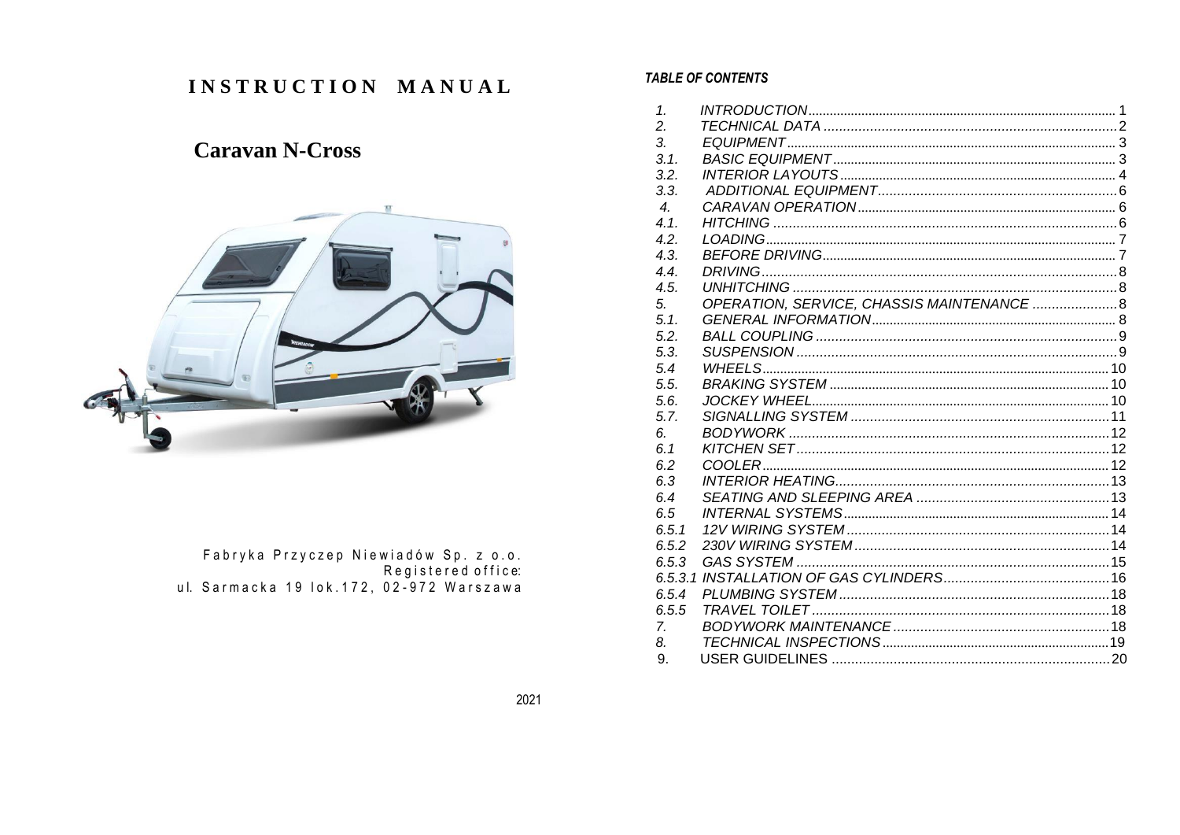# INSTRUCTION MANUAL

# **Caravan N-Cross**



. Fabryka Przyczep Niewiadów Sp. z o.o<br>:Registered office<br>ul. Sarmacka 19 lok.172, 02-972 Warszawa

#### **TABLE OF CONTENTS**

| 1.                           |  |
|------------------------------|--|
| 2.                           |  |
| $\mathcal{S}_{\cdot}$        |  |
| 3.1.                         |  |
| 3.2.                         |  |
| 3.3.                         |  |
| $\boldsymbol{\mathcal{A}}$ . |  |
| 4.1.                         |  |
| 4.2.                         |  |
| 4.3.                         |  |
| 4.4.                         |  |
| 4.5.                         |  |
| 5.                           |  |
| 5.1.                         |  |
| 5.2.                         |  |
| 5.3.                         |  |
| 5.4                          |  |
| 5.5.                         |  |
| 5.6.                         |  |
| 5.7.                         |  |
| 6.                           |  |
| 6.1                          |  |
| 6.2                          |  |
| 6.3                          |  |
| 6.4                          |  |
| 6.5                          |  |
| 6.5.1                        |  |
| 6.5.2                        |  |
| 6.5.3                        |  |
|                              |  |
| 6.5.4                        |  |
| 6.5.5                        |  |
| $Z_{\rm c}$                  |  |
| 8.                           |  |
| 9.                           |  |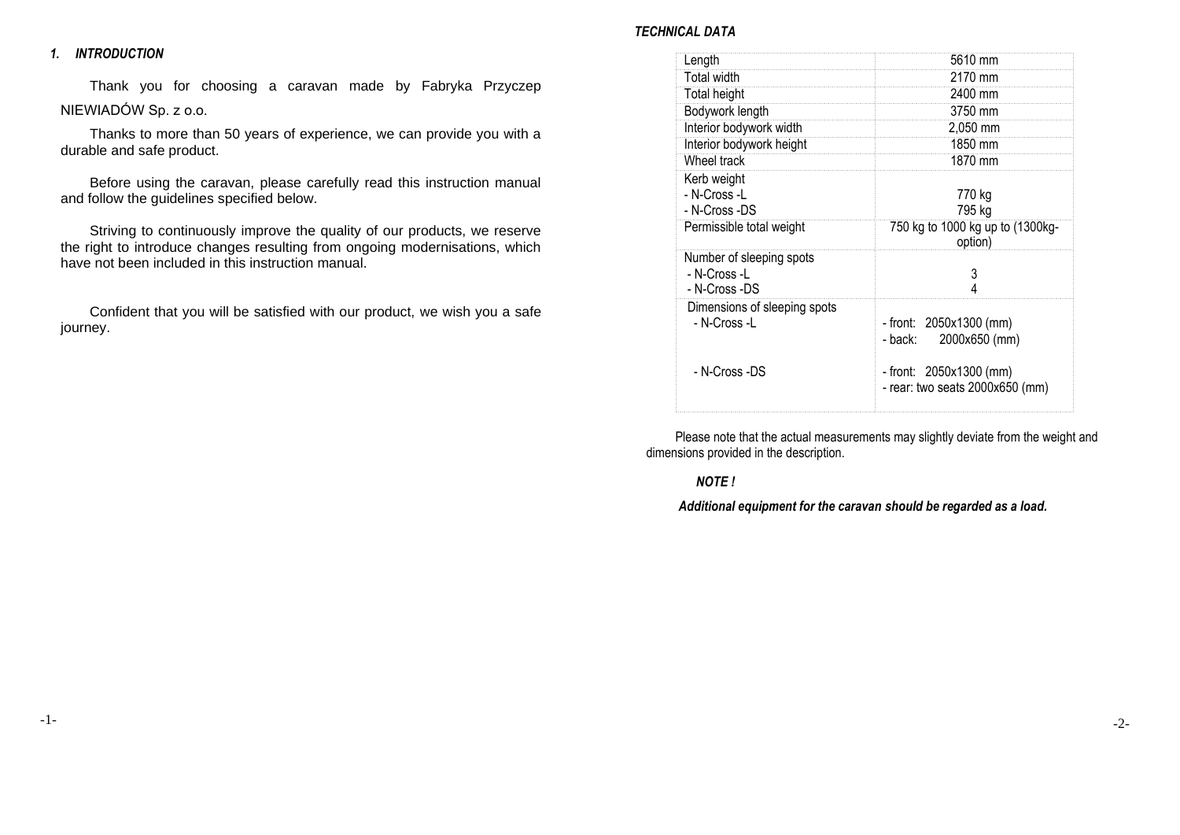#### <span id="page-1-0"></span>*1. INTRODUCTION*

Thank you for choosing a caravan made by Fabryka Przyczep NIEWIADÓW Sp. z o.o.

Thanks to more than 50 years of experience, we can provide you with a durable and safe product.

Before using the caravan, please carefully read this instruction manual and follow the guidelines specified below.

Striving to continuously improve the quality of our products, we reserve the right to introduce changes resulting from ongoing modernisations, which have not been included in this instruction manual.

Confident that you will be satisfied with our product, we wish you a safe journey.

#### *TECHNICAL DATA*

| Length                                                                   | 5610 mm                                                      |
|--------------------------------------------------------------------------|--------------------------------------------------------------|
| <b>Total width</b>                                                       | 2170 mm                                                      |
| <b>Total height</b>                                                      | 2400 mm                                                      |
| Bodywork length                                                          | 3750 mm                                                      |
| Interior bodywork width                                                  | 2,050 mm                                                     |
| Interior bodywork height                                                 | 1850 mm                                                      |
| Wheel track                                                              | 1870 mm                                                      |
| Kerb weight<br>- N-Cross -L<br>- N-Cross -DS<br>Permissible total weight | 770 kg<br>795 kg<br>750 kg to 1000 kg up to (1300kg-         |
|                                                                          | option)                                                      |
| Number of sleeping spots<br>- N-Cross -L<br>- N-Cross -DS                | 3                                                            |
| Dimensions of sleeping spots<br>- N-Cross -L                             | - front: 2050x1300 (mm)<br>2000x650 (mm)<br>- back:          |
| - N-Cross -DS                                                            | - front: $2050x1300$ (mm)<br>- rear: two seats 2000x650 (mm) |

Please note that the actual measurements may slightly deviate from the weight and dimensions provided in the description.

# *NOTE !*

*Additional equipment for the caravan should be regarded as a load.*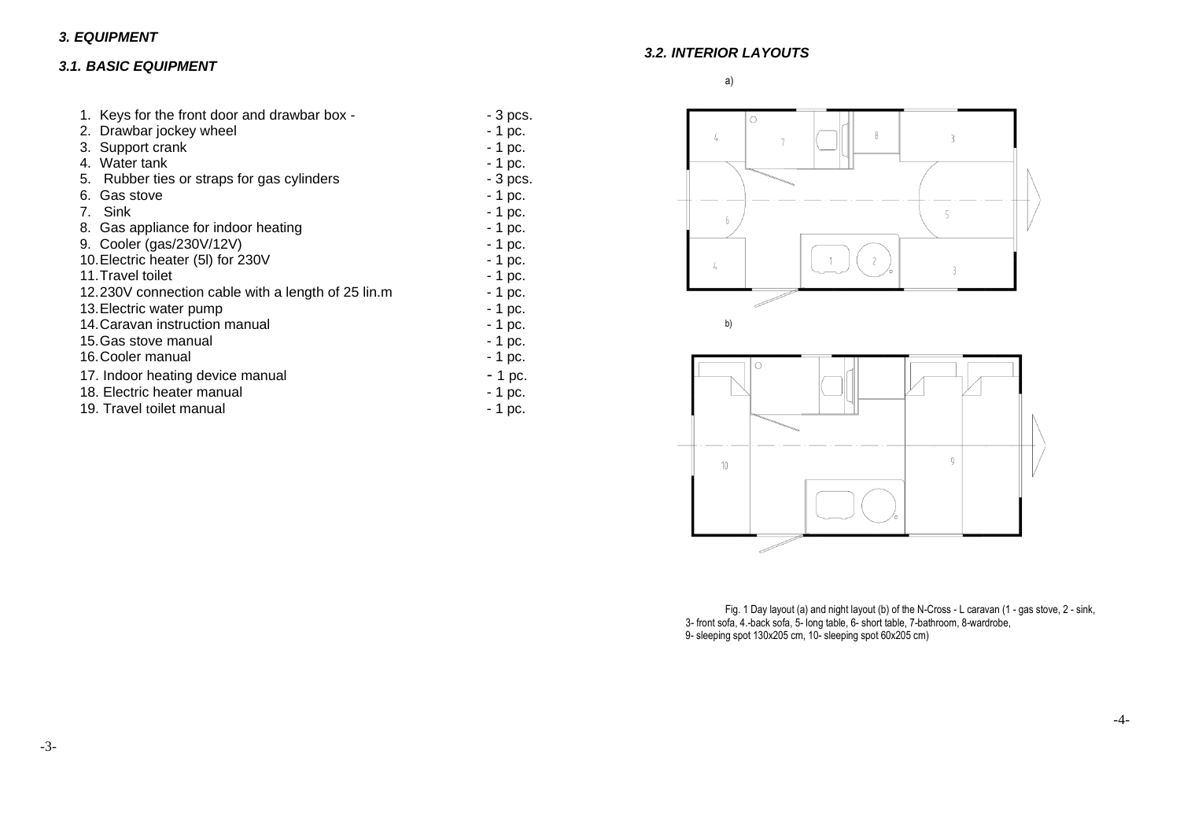# <span id="page-2-1"></span><span id="page-2-0"></span>*3.1. BASIC EQUIPMENT*

| 1. Keys for the front door and drawbar box -                  | - 3 pcs. |  |
|---------------------------------------------------------------|----------|--|
| 2. Drawbar jockey wheel                                       | $-1$ pc. |  |
| 3. Support crank                                              | $-1$ pc. |  |
| 4. Water tank                                                 | $-1$ pc. |  |
| 5.<br>Rubber ties or straps for gas cylinders                 | - 3 pcs. |  |
| 6. Gas stove                                                  | $-1$ pc. |  |
| 7. Sink                                                       | - 1 pc.  |  |
| 8. Gas appliance for indoor heating                           | $-1$ pc. |  |
| 9. Cooler (gas/230V/12V)                                      | $-1$ pc. |  |
| 10. Electric heater (5I) for 230V<br>$-1$ pc.                 |          |  |
| 11. Travel toilet                                             | $-1$ pc. |  |
| 12.230V connection cable with a length of 25 lin.m<br>- 1 pc. |          |  |
| $-1$ pc.<br>13. Electric water pump                           |          |  |
| 14. Caravan instruction manual<br>$-1$ pc.                    |          |  |
| 15. Gas stove manual                                          | - 1 pc.  |  |
| 16. Cooler manual                                             | - 1 pc.  |  |
| 17. Indoor heating device manual                              | - 1 pc.  |  |
| 18. Electric heater manual                                    | - 1 pc.  |  |
| 19. Travel toilet manual                                      | - 1 pc.  |  |

<span id="page-2-2"></span>*3.2. INTERIOR LAYOUTS*

a)





Fig. 1 Day layout (a) and night layout (b) of the N-Cross - L caravan (1 - gas stove, 2 - sink, 3- front sofa, 4.-back sofa, 5- long table, 6- short table, 7-bathroom, 8-wardrobe, 9- sleeping spot 130x205 cm, 10- sleeping spot 60x205 cm)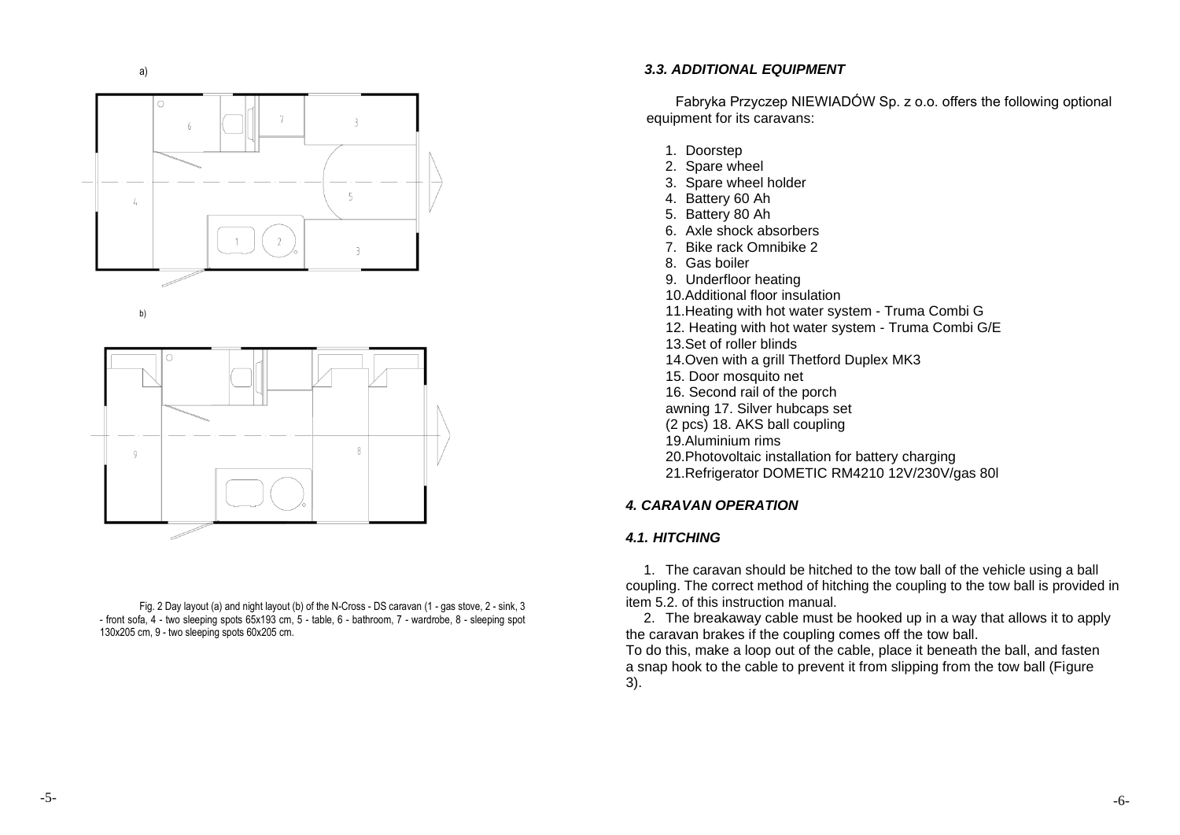





<span id="page-3-1"></span><span id="page-3-0"></span>Fig. 2 Day layout (a) and night layout (b) of the N-Cross - DS caravan (1 - gas stove, 2 - sink, 3 - front sofa, 4 - two sleeping spots 65x193 cm, 5 - table, 6 - bathroom, 7 - wardrobe, 8 - sleeping spot 130x205 cm, 9 - two sleeping spots 60x205 cm.

#### a) *3.3. ADDITIONAL EQUIPMENT*

Fabryka Przyczep NIEWIADÓW Sp. z o.o. offers the following optional equipment for its caravans:

- 1. Doorstep
- 2. Spare wheel
- 3. Spare wheel holder
- 4. Battery 60 Ah
- 5. Battery 80 Ah
- 6. Axle shock absorbers
- 7. Bike rack Omnibike 2
- 8. Gas boiler
- 9. Underfloor heating
- 10.Additional floor insulation
- b) 11.Heating with hot water system Truma Combi G
	- 12. Heating with hot water system Truma Combi G/E
	- 13.Set of roller blinds
	- 14.Oven with a grill Thetford Duplex MK3
	- 15. Door mosquito net
	- 16. Second rail of the porch
	- awning 17. Silver hubcaps set
	- (2 pcs) 18. AKS ball coupling
	- 19.Aluminium rims
	- 20.Photovoltaic installation for battery charging
	- 21.Refrigerator DOMETIC RM4210 12V/230V/gas 80l

### *4. CARAVAN OPERATION*

### *4.1. HITCHING*

1. The caravan should be hitched to the tow ball of the vehicle using a ball coupling. The correct method of hitching the coupling to the tow ball is provided in item 5.2. of this instruction manual.

2. The breakaway cable must be hooked up in a way that allows it to apply the caravan brakes if the coupling comes off the tow ball.

To do this, make a loop out of the cable, place it beneath the ball, and fasten a snap hook to the cable to prevent it from slipping from the tow ball (Figure 3).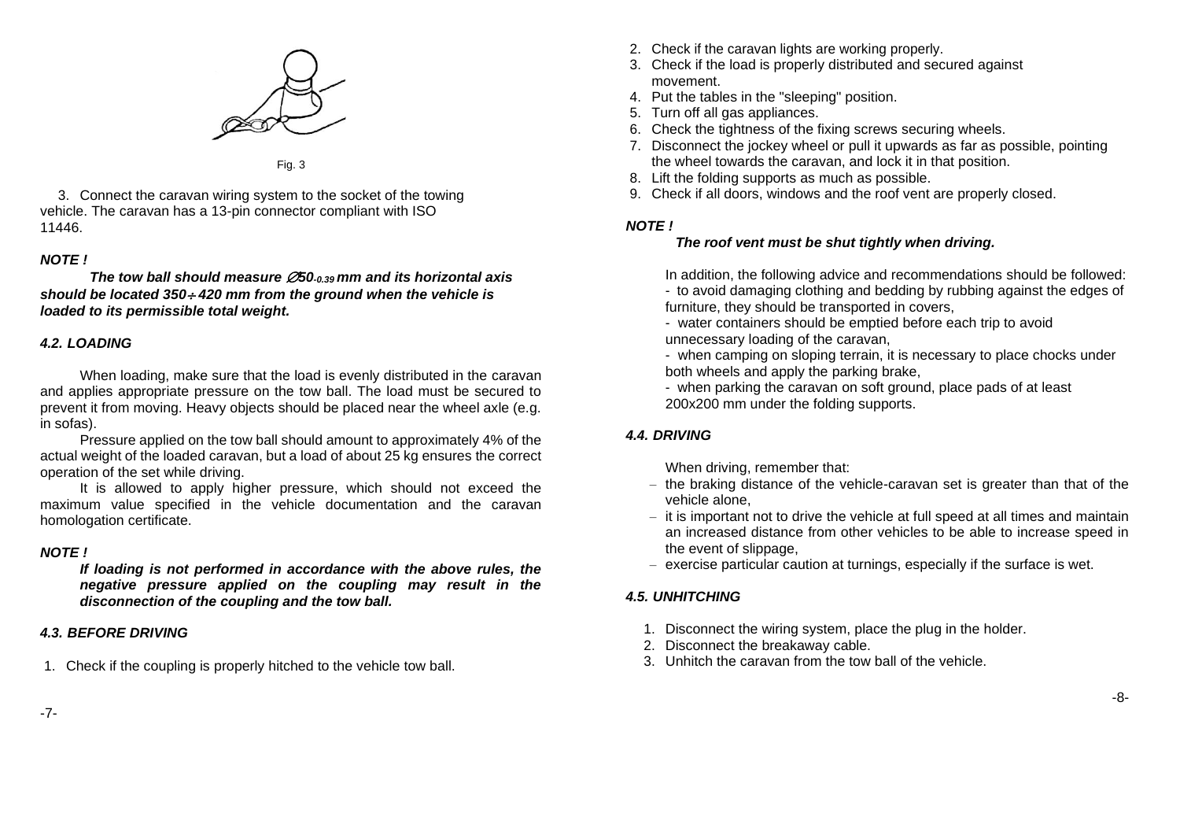

Fig. 3

3. Connect the caravan wiring system to the socket of the towing vehicle. The caravan has a 13-pin connector compliant with ISO 11446.

#### *NOTE !*

*The tow ball should measure 50-0.39 mm and its horizontal axis should be located 350 420 mm from the ground when the vehicle is loaded to its permissible total weight.*

### <span id="page-4-0"></span>*4.2. LOADING*

When loading, make sure that the load is evenly distributed in the caravan and applies appropriate pressure on the tow ball. The load must be secured to prevent it from moving. Heavy objects should be placed near the wheel axle (e.g. in sofas).

Pressure applied on the tow ball should amount to approximately 4% of the actual weight of the loaded caravan, but a load of about 25 kg ensures the correct operation of the set while driving.

It is allowed to apply higher pressure, which should not exceed the maximum value specified in the vehicle documentation and the caravan homologation certificate.

#### *NOTE !*

*If loading is not performed in accordance with the above rules, the negative pressure applied on the coupling may result in the disconnection of the coupling and the tow ball.*

### <span id="page-4-1"></span>*4.3. BEFORE DRIVING*

1. Check if the coupling is properly hitched to the vehicle tow ball.

- 2. Check if the caravan lights are working properly.
- 3. Check if the load is properly distributed and secured against movement.
- 4. Put the tables in the "sleeping" position.
- 5. Turn off all gas appliances.
- 6. Check the tightness of the fixing screws securing wheels.
- 7. Disconnect the jockey wheel or pull it upwards as far as possible, pointing the wheel towards the caravan, and lock it in that position.
- 8. Lift the folding supports as much as possible.
- 9. Check if all doors, windows and the roof vent are properly closed.

### *NOTE !*

# *The roof vent must be shut tightly when driving.*

In addition, the following advice and recommendations should be followed: - to avoid damaging clothing and bedding by rubbing against the edges of furniture, they should be transported in covers,

- water containers should be emptied before each trip to avoid unnecessary loading of the caravan,

- when camping on sloping terrain, it is necessary to place chocks under both wheels and apply the parking brake,

- when parking the caravan on soft ground, place pads of at least 200x200 mm under the folding supports.

# <span id="page-4-2"></span>*4.4. DRIVING*

When driving, remember that:

- the braking distance of the vehicle-caravan set is greater than that of the vehicle alone,
- it is important not to drive the vehicle at full speed at all times and maintain an increased distance from other vehicles to be able to increase speed in the event of slippage,
- exercise particular caution at turnings, especially if the surface is wet.

# <span id="page-4-3"></span>*4.5. UNHITCHING*

- 1. Disconnect the wiring system, place the plug in the holder.
- 2. Disconnect the breakaway cable.
- 3. Unhitch the caravan from the tow ball of the vehicle.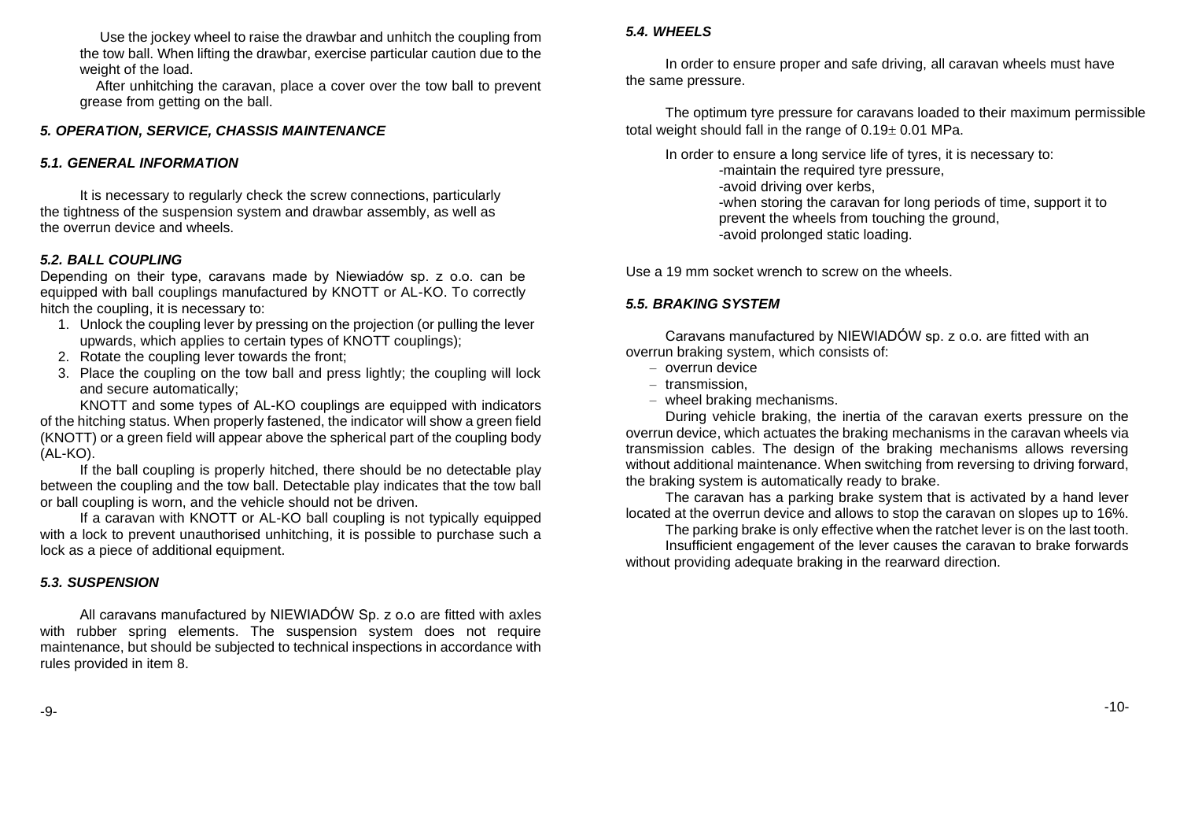Use the jockey wheel to raise the drawbar and unhitch the coupling from the tow ball. When lifting the drawbar, exercise particular caution due to the weight of the load.

After unhitching the caravan, place a cover over the tow ball to prevent grease from getting on the ball.

# <span id="page-5-0"></span>*5. OPERATION, SERVICE, CHASSIS MAINTENANCE*

#### <span id="page-5-1"></span>*5.1. GENERAL INFORMATION*

It is necessary to regularly check the screw connections, particularly the tightness of the suspension system and drawbar assembly, as well as the overrun device and wheels.

#### <span id="page-5-2"></span>*5.2. BALL COUPLING*

Depending on their type, caravans made by Niewiadów sp. z o.o. can be equipped with ball couplings manufactured by KNOTT or AL-KO. To correctly hitch the coupling, it is necessary to:

- 1. Unlock the coupling lever by pressing on the projection (or pulling the lever upwards, which applies to certain types of KNOTT couplings);
- 2. Rotate the coupling lever towards the front;
- 3. Place the coupling on the tow ball and press lightly; the coupling will lock and secure automatically;

KNOTT and some types of AL-KO couplings are equipped with indicators of the hitching status. When properly fastened, the indicator will show a green field (KNOTT) or a green field will appear above the spherical part of the coupling body (AL-KO).

If the ball coupling is properly hitched, there should be no detectable play between the coupling and the tow ball. Detectable play indicates that the tow ball or ball coupling is worn, and the vehicle should not be driven.

If a caravan with KNOTT or AL-KO ball coupling is not typically equipped with a lock to prevent unauthorised unhitching, it is possible to purchase such a lock as a piece of additional equipment.

#### <span id="page-5-3"></span>*5.3. SUSPENSION*

<span id="page-5-4"></span>All caravans manufactured by NIEWIADÓW Sp. z o.o are fitted with axles with rubber spring elements. The suspension system does not require maintenance, but should be subjected to technical inspections in accordance with rules provided in item 8.

# *5.4. WHEELS*

In order to ensure proper and safe driving, all caravan wheels must have the same pressure.

The optimum tyre pressure for caravans loaded to their maximum permissible total weight should fall in the range of  $0.19<sub>\pm</sub> 0.01$  MPa.

In order to ensure a long service life of tyres, it is necessary to:

- -maintain the required tyre pressure,
- -avoid driving over kerbs,
- -when storing the caravan for long periods of time, support it to prevent the wheels from touching the ground,
- -avoid prolonged static loading.

Use a 19 mm socket wrench to screw on the wheels.

#### <span id="page-5-5"></span>*5.5. BRAKING SYSTEM*

Caravans manufactured by NIEWIADÓW sp. z o.o. are fitted with an overrun braking system, which consists of:

- overrun device
- transmission,
- wheel braking mechanisms.

During vehicle braking, the inertia of the caravan exerts pressure on the overrun device, which actuates the braking mechanisms in the caravan wheels via transmission cables. The design of the braking mechanisms allows reversing without additional maintenance. When switching from reversing to driving forward, the braking system is automatically ready to brake.

The caravan has a parking brake system that is activated by a hand lever located at the overrun device and allows to stop the caravan on slopes up to 16%.

The parking brake is only effective when the ratchet lever is on the last tooth. Insufficient engagement of the lever causes the caravan to brake forwards without providing adequate braking in the rearward direction.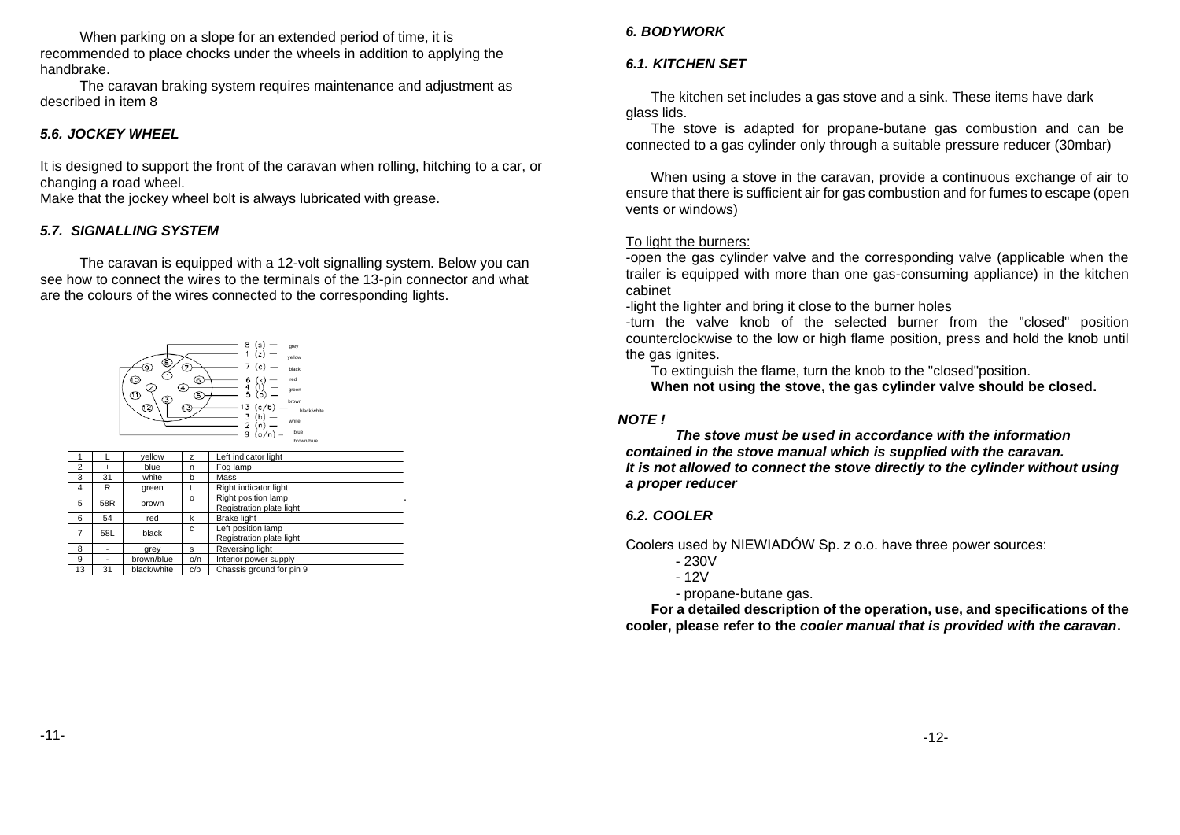When parking on a slope for an extended period of time, it is recommended to place chocks under the wheels in addition to applying the handbrake.

The caravan braking system requires maintenance and adjustment as described in item 8

#### <span id="page-6-0"></span>*5.6. JOCKEY WHEEL*

It is designed to support the front of the caravan when rolling, hitching to a car, or changing a road wheel.

Make that the jockey wheel bolt is always lubricated with grease.

#### <span id="page-6-1"></span>*5.7. SIGNALLING SYSTEM*

The caravan is equipped with a 12-volt signalling system. Below you can see how to connect the wires to the terminals of the 13-pin connector and what are the colours of the wires connected to the corresponding lights.



<span id="page-6-2"></span>

|                |     | vellow      | z        | Left indicator light                            |
|----------------|-----|-------------|----------|-------------------------------------------------|
| $\overline{2}$ | ٠   | blue        | n        | Fog lamp                                        |
| 3              | 31  | white       | b        | Mass                                            |
| $\overline{4}$ | R   | green       |          | Right indicator light                           |
| 5              | 58R | brown       | $\Omega$ | Right position lamp<br>Registration plate light |
| 6              | 54  | red         | k        | <b>Brake light</b>                              |
| 7              | 58L | black       | C        | Left position lamp<br>Registration plate light  |
| 8              |     | grey        | s        | Reversing light                                 |
| 9              | -   | brown/blue  | o/n      | Interior power supply                           |
| 13             | 31  | black/white | c/b      | Chassis ground for pin 9                        |

# *6. BODYWORK*

# <span id="page-6-3"></span>*6.1. KITCHEN SET*

The kitchen set includes a gas stove and a sink. These items have dark glass lids.

The stove is adapted for propane-butane gas combustion and can be connected to a gas cylinder only through a suitable pressure reducer (30mbar)

When using a stove in the caravan, provide a continuous exchange of air to ensure that there is sufficient air for gas combustion and for fumes to escape (open vents or windows)

#### To light the burners:

-open the gas cylinder valve and the corresponding valve (applicable when the trailer is equipped with more than one gas-consuming appliance) in the kitchen cabinet

-light the lighter and bring it close to the burner holes

-turn the valve knob of the selected burner from the "closed" position counterclockwise to the low or high flame position, press and hold the knob until the gas ignites.

To extinguish the flame, turn the knob to the "closed"position.

**When not using the stove, the gas cylinder valve should be closed.**

#### *NOTE !*

*The stove must be used in accordance with the information contained in the stove manual which is supplied with the caravan. It is not allowed to connect the stove directly to the cylinder without using a proper reducer*

#### <span id="page-6-4"></span>*6.2. COOLER*

Coolers used by NIEWIADÓW Sp. z o.o. have three power sources:

- 230V

- 12V

- propane-butane gas.

**For a detailed description of the operation, use, and specifications of the cooler, please refer to the** *cooler manual that is provided with the caravan***.**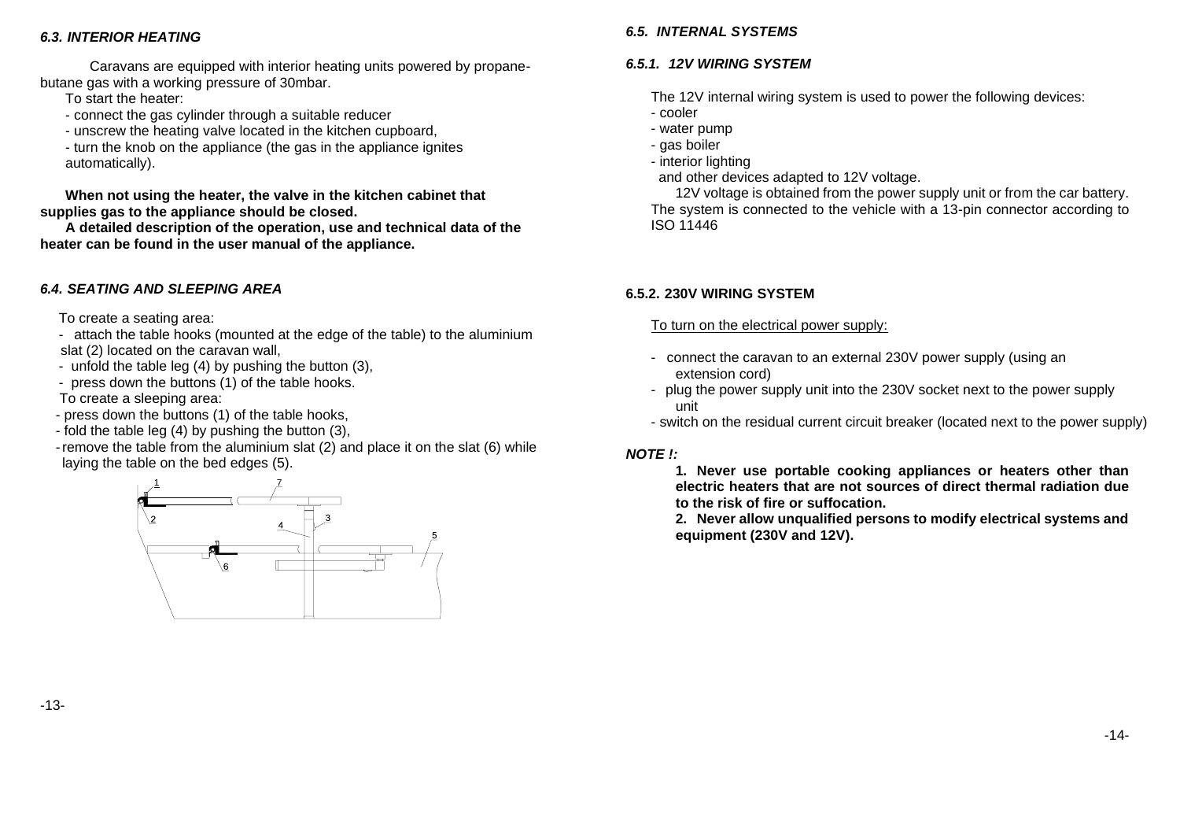## <span id="page-7-0"></span>*6.3. INTERIOR HEATING*

Caravans are equipped with interior heating units powered by propanebutane gas with a working pressure of 30mbar.

To start the heater:

- connect the gas cylinder through a suitable reducer
- unscrew the heating valve located in the kitchen cupboard,

- turn the knob on the appliance (the gas in the appliance ignites automatically).

**When not using the heater, the valve in the kitchen cabinet that supplies gas to the appliance should be closed.**

**A detailed description of the operation, use and technical data of the heater can be found in the user manual of the appliance.**

# <span id="page-7-1"></span>*6.4. SEATING AND SLEEPING AREA*

To create a seating area:

- attach the table hooks (mounted at the edge of the table) to the aluminium slat (2) located on the caravan wall,

- unfold the table leg (4) by pushing the button (3),
- press down the buttons (1) of the table hooks.
- To create a sleeping area:
- press down the buttons (1) of the table hooks,
- fold the table leg (4) by pushing the button (3),
- -remove the table from the aluminium slat (2) and place it on the slat (6) while laying the table on the bed edges (5).

<span id="page-7-2"></span>

# *6.5. INTERNAL SYSTEMS*

# <span id="page-7-3"></span>*6.5.1. 12V WIRING SYSTEM*

The 12V internal wiring system is used to power the following devices:

- cooler
- water pump
- gas boiler
- interior lighting
- and other devices adapted to 12V voltage.

12V voltage is obtained from the power supply unit or from the car battery. The system is connected to the vehicle with a 13-pin connector according to ISO 11446

# <span id="page-7-4"></span>**6.5.2. 230V WIRING SYSTEM**

To turn on the electrical power supply:

- connect the caravan to an external 230V power supply (using an extension cord)
- plug the power supply unit into the 230V socket next to the power supply unit
- switch on the residual current circuit breaker (located next to the power supply)

### *NOTE !:*

**1. Never use portable cooking appliances or heaters other than electric heaters that are not sources of direct thermal radiation due to the risk of fire or suffocation.**

**2. Never allow unqualified persons to modify electrical systems and equipment (230V and 12V).**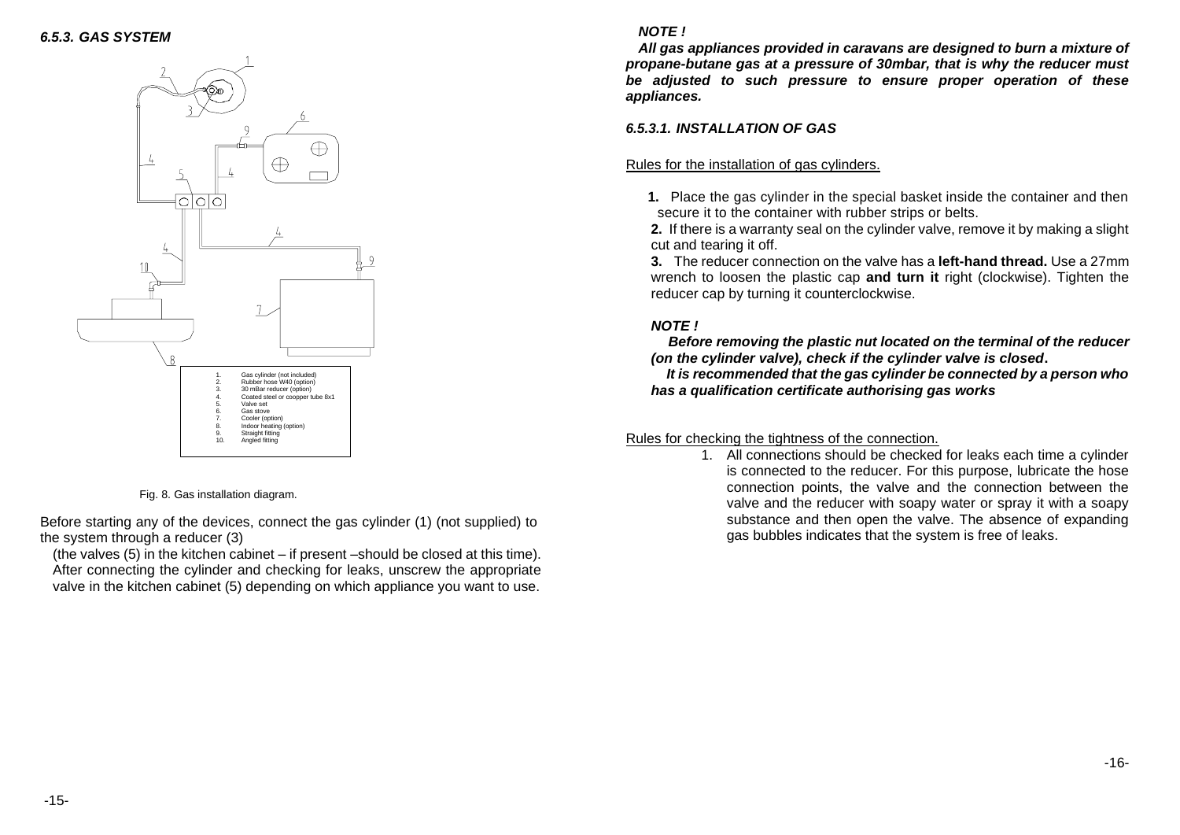# <span id="page-8-0"></span>*6.5.3. GAS SYSTEM NOTE !*



Fig. 8. Gas installation diagram.

Before starting any of the devices, connect the gas cylinder (1) (not supplied) to the system through a reducer (3)

(the valves (5) in the kitchen cabinet – if present –should be closed at this time). After connecting the cylinder and checking for leaks, unscrew the appropriate valve in the kitchen cabinet (5) depending on which appliance you want to use.

*All gas appliances provided in caravans are designed to burn a mixture of propane-butane gas at a pressure of 30mbar, that is why the reducer must be adjusted to such pressure to ensure proper operation of these appliances.*

#### *6.5.3.1. INSTALLATION OF GAS*

#### Rules for the installation of gas cylinders.

**1.** Place the gas cylinder in the special basket inside the container and then secure it to the container with rubber strips or belts.

**2.** If there is a warranty seal on the cylinder valve, remove it by making a slight cut and tearing it off.

**3.** The reducer connection on the valve has a **left-hand thread.** Use a 27mm wrench to loosen the plastic cap **and turn it** right (clockwise). Tighten the reducer cap by turning it counterclockwise.

# *NOTE !*

*Before removing the plastic nut located on the terminal of the reducer (on the cylinder valve), check if the cylinder valve is closed***.**

 *It is recommended that the gas cylinder be connected by a person who has a qualification certificate authorising gas works*

### Rules for checking the tightness of the connection.

1. All connections should be checked for leaks each time a cylinder is connected to the reducer. For this purpose, lubricate the hose connection points, the valve and the connection between the valve and the reducer with soapy water or spray it with a soapy substance and then open the valve. The absence of expanding gas bubbles indicates that the system is free of leaks.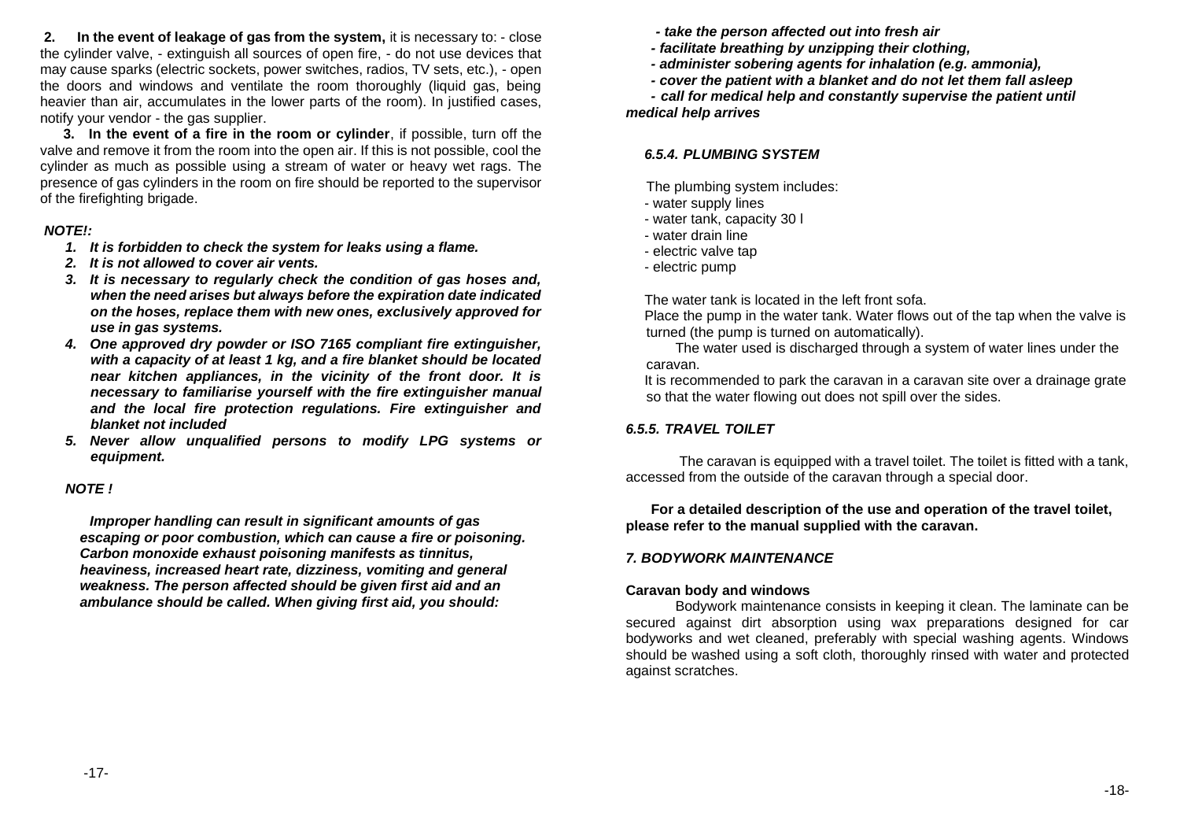**2. In the event of leakage of gas from the system,** it is necessary to: - close the cylinder valve, - extinguish all sources of open fire, - do not use devices that may cause sparks (electric sockets, power switches, radios, TV sets, etc.), - open the doors and windows and ventilate the room thoroughly (liquid gas, being heavier than air, accumulates in the lower parts of the room). In justified cases, notify your vendor - the gas supplier.

**3. In the event of a fire in the room or cylinder**, if possible, turn off the valve and remove it from the room into the open air. If this is not possible, cool the cylinder as much as possible using a stream of water or heavy wet rags. The presence of gas cylinders in the room on fire should be reported to the supervisor of the firefighting brigade.

#### *NOTE!:*

- *1. It is forbidden to check the system for leaks using a flame.*
- *2. It is not allowed to cover air vents.*
- *3. It is necessary to regularly check the condition of gas hoses and, when the need arises but always before the expiration date indicated on the hoses, replace them with new ones, exclusively approved for use in gas systems.*
- *4. One approved dry powder or ISO 7165 compliant fire extinguisher, with a capacity of at least 1 kg, and a fire blanket should be located near kitchen appliances, in the vicinity of the front door. It is necessary to familiarise yourself with the fire extinguisher manual and the local fire protection regulations. Fire extinguisher and blanket not included*
- *5. Never allow unqualified persons to modify LPG systems or equipment.*

### *NOTE !*

*Improper handling can result in significant amounts of gas escaping or poor combustion, which can cause a fire or poisoning. Carbon monoxide exhaust poisoning manifests as tinnitus, heaviness, increased heart rate, dizziness, vomiting and general weakness. The person affected should be given first aid and an ambulance should be called. When giving first aid, you should:*

*- take the person affected out into fresh air*

- *- facilitate breathing by unzipping their clothing,*
- *- administer sobering agents for inhalation (e.g. ammonia),*
- *- cover the patient with a blanket and do not let them fall asleep*

*- call for medical help and constantly supervise the patient until medical help arrives*

# <span id="page-9-0"></span>*6.5.4. PLUMBING SYSTEM*

The plumbing system includes:

- water supply lines
- water tank, capacity 30 l
- water drain line
- electric valve tap
- electric pump

The water tank is located in the left front sofa.

Place the pump in the water tank. Water flows out of the tap when the valve is turned (the pump is turned on automatically).

The water used is discharged through a system of water lines under the caravan.

It is recommended to park the caravan in a caravan site over a drainage grate so that the water flowing out does not spill over the sides.

# <span id="page-9-1"></span>*6.5.5. TRAVEL TOILET*

The caravan is equipped with a travel toilet. The toilet is fitted with a tank, accessed from the outside of the caravan through a special door.

### **For a detailed description of the use and operation of the travel toilet, please refer to the manual supplied with the caravan.**

# <span id="page-9-2"></span>*7. BODYWORK MAINTENANCE*

# **Caravan body and windows**

Bodywork maintenance consists in keeping it clean. The laminate can be secured against dirt absorption using wax preparations designed for car bodyworks and wet cleaned, preferably with special washing agents. Windows should be washed using a soft cloth, thoroughly rinsed with water and protected against scratches.